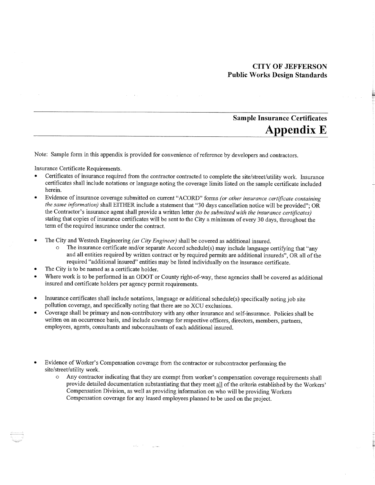## **CITY OF JEFFERSON Public Works Design Standards**

## **Sample Insurance Certificates AppendixE**

Note: Sample form in this appendix is provided for convenience of reference by developers and contractors.

Insurance Certificate Requirements.

- Certificates of insurance required from the contractor contracted to complete the site/street/utility work. Insurance certificates shall include notations or language noting the coverage limits listed on the sample certificate included herein.
- Evidence of insurance coverage submitted on current "ACORD" forms *(or other insurance certificate containing the same information)* shall EITHER include a statement that "30 days cancellation notice will be provided"; OR the Contractor's insurance agent shall provide a written letter *(to be submitted with the insurance certificates)*  stating that copies of insurance certificates will be sent to the City a minimum of every 30 days, throughout the term of the required insurance under the contract.
- The City and Westech Engineering *(as City Enginee1)* shall be covered as additional insured.
	- The insurance certificate and/or separate Accord schedule(s) may include language certifying that "any and all entities required by written contract or by required permits are additional insureds", OR all of the required "additional insured" entities may be listed individually on the insurance certificate.
- The City is to be named as a certificate holder.
- Where work is to be performed in an ODOT or County right-of-way, these agencies shall be covered as additional insured and certificate holders per agency permit requirements.
- Insurance certificates shall include notations, language or additional schedule(s) specifically noting job site pollution coverage, and specifically noting that there are no XCU exclusions.
- Coverage shall be primary and non-contributory with any other insurance and self-insurance. Policies shall be written on an occurrence basis, and include coverage for respective officers, directors, members, partners, employees, agents, consultants and subconsultants of each additional insured.
- Evidence of Worker's Compensation coverage from the contractor or subcontractor performing the site/street/utility work.

 $\sqrt{\rho_{\rm{m}}^2}$  ,  $\sim$ 

Any contractor indicating that they are exempt from worker's compensation coverage requirements shall provide detailed documentation substantiating that they meet all of the criteria established by the Workers' Compensation Division, as well as providing information on who will be providing Workers Compensation coverage for any leased employees planned to be used on the project.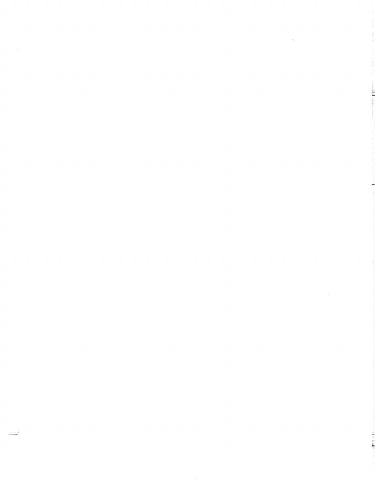$\label{eq:2.1} \frac{1}{\sqrt{2}}\left(\frac{1}{\sqrt{2}}\right)^{2} \left(\frac{1}{\sqrt{2}}\right)^{2} \left(\frac{1}{\sqrt{2}}\right)^{2} \left(\frac{1}{\sqrt{2}}\right)^{2} \left(\frac{1}{\sqrt{2}}\right)^{2} \left(\frac{1}{\sqrt{2}}\right)^{2} \left(\frac{1}{\sqrt{2}}\right)^{2} \left(\frac{1}{\sqrt{2}}\right)^{2} \left(\frac{1}{\sqrt{2}}\right)^{2} \left(\frac{1}{\sqrt{2}}\right)^{2} \left(\frac{1}{\sqrt{2}}\right)^{2} \left(\$ 

 $\begin{picture}(20,10) \put(0,0){\line(1,0){10}} \put(10,0){\line(1,0){10}} \put(10,0){\line(1,0){10}} \put(10,0){\line(1,0){10}} \put(10,0){\line(1,0){10}} \put(10,0){\line(1,0){10}} \put(10,0){\line(1,0){10}} \put(10,0){\line(1,0){10}} \put(10,0){\line(1,0){10}} \put(10,0){\line(1,0){10}} \put(10,0){\line(1,0){10}} \put(10,0){\line(1$ 

Ę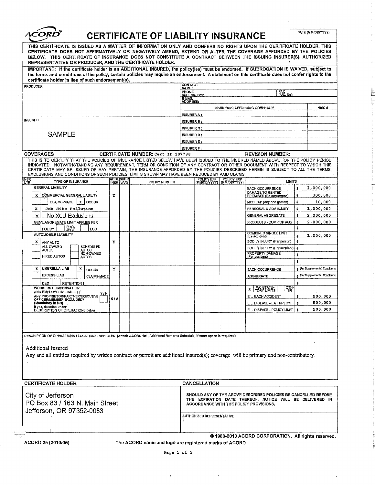

Ť

## CERTIFICATE OF LIABILITY INSURANCE **Inter (MM/DD/YYYY)**

| THIS CERTIFICATE IS ISSUED AS A MATTER OF INFORMATION ONLY AND CONFERS NO RIGHTS UPON THE CERTIFICATE HOLDER, THIS<br>CERTIFICATE DOES NOT AFFIRMATIVELY OR NEGATIVELY AMEND, EXTEND OR ALTER THE COVERAGE AFFORDED BY THE POLICIES<br>BELOW, THIS CERTIFICATE OF INSURANCE DOES NOT CONSTITUTE A CONTRACT BETWEEN THE ISSUING INSURER(S), AUTHORIZED<br>REPRESENTATIVE OR PRODUCER, AND THE CERTIFICATE HOLDER. |                                                                                                                                                                      |
|------------------------------------------------------------------------------------------------------------------------------------------------------------------------------------------------------------------------------------------------------------------------------------------------------------------------------------------------------------------------------------------------------------------|----------------------------------------------------------------------------------------------------------------------------------------------------------------------|
| IMPORTANT: If the certificate holder is an ADDITIONAL INSURED, the policy(ies) must be endorsed. If SUBROGATION IS WAIVED, subject to<br>the terms and conditions of the policy, certain policies may require an endorsement. A statement on this certificate does not confer rights to the<br>certificate holder in lieu of such endorsement(s).                                                                |                                                                                                                                                                      |
| PRODUCER                                                                                                                                                                                                                                                                                                                                                                                                         | <b>CONTACT</b><br>NAME:                                                                                                                                              |
|                                                                                                                                                                                                                                                                                                                                                                                                                  | FAX<br>(A/C, No):<br><b>PHONE</b><br>(AIC, No. Ext):                                                                                                                 |
|                                                                                                                                                                                                                                                                                                                                                                                                                  | E-MAIL<br>ADDRESS:                                                                                                                                                   |
|                                                                                                                                                                                                                                                                                                                                                                                                                  | <b>NAIC#</b><br>INSURER(S) AFFORDING COVERAGE                                                                                                                        |
|                                                                                                                                                                                                                                                                                                                                                                                                                  | <b>INSURER A:</b>                                                                                                                                                    |
| <b>INSURED</b>                                                                                                                                                                                                                                                                                                                                                                                                   | <b>INSURER B:</b>                                                                                                                                                    |
|                                                                                                                                                                                                                                                                                                                                                                                                                  | <b>INSURER C:</b>                                                                                                                                                    |
| <b>SAMPLE</b>                                                                                                                                                                                                                                                                                                                                                                                                    | <b>INSURER D:</b>                                                                                                                                                    |
|                                                                                                                                                                                                                                                                                                                                                                                                                  | <b>INSURER E:</b>                                                                                                                                                    |
| <b>INSURER F:</b>                                                                                                                                                                                                                                                                                                                                                                                                |                                                                                                                                                                      |
| <b>COVERAGES</b><br>CERTIFICATE NUMBER: Cert ID 207788<br><b>REVISION NUMBER:</b><br>THIS IS TO CERTIFY THAT THE POLICIES OF INSURANCE LISTED BELOW HAVE BEEN ISSUED TO THE INSURED NAMED ABOVE FOR THE POLICY PERIOD                                                                                                                                                                                            |                                                                                                                                                                      |
| INDICATED, NOTWITHSTANDING ANY REQUIREMENT, TERM OR CONDITION OF ANY CONTRACT OR OTHER DOCUMENT WITH RESPECT TO WHICH THIS<br>CERTIFICATE MAY BE ISSUED OR MAY PERTAIN. THE INSURANCE AFFORDED BY THE POLICIES DESCRIBED HEREIN IS SUBJECT TO ALL THE TERMS.<br>EXCLUSIONS AND CONDITIONS OF SUCH POLICIES, LIMITS SHOWN MAY HAVE BEEN REDUCED BY PAID CLAIMS.                                                   |                                                                                                                                                                      |
| ADDL SUBR<br>INSR WVD<br><b>INSR</b><br>LTR<br>TYPE OF INSURANCE<br><b>POLICY NUMBER</b>                                                                                                                                                                                                                                                                                                                         | POLICY EFF POLICY EXP<br><b>LIMITS</b>                                                                                                                               |
| GENERAL LIABILITY                                                                                                                                                                                                                                                                                                                                                                                                | 1,000,000<br>s<br>EACH OCCURRENCE                                                                                                                                    |
| COMMERCIAL GENERAL LIABILITY<br>x<br>Y                                                                                                                                                                                                                                                                                                                                                                           | <b>DAMAGE TO RENTED</b><br>300,000<br>\$<br>PREMISES (Ea occurrence)                                                                                                 |
| CLAIMS-MADE   X   OCCUR                                                                                                                                                                                                                                                                                                                                                                                          | s<br>10,000<br>MED EXP (Any one person)                                                                                                                              |
| х<br>Job Site Pollution                                                                                                                                                                                                                                                                                                                                                                                          | \$<br>1,000,000<br>PERSONAL & ADV INJURY                                                                                                                             |
| <u>No.XCU Exclusions</u><br>x                                                                                                                                                                                                                                                                                                                                                                                    | 2,000,000<br><b>GENERAL AGGREGATE</b><br>\$                                                                                                                          |
| GEN'L AGGREGATE LIMIT APPLIES PER:                                                                                                                                                                                                                                                                                                                                                                               | PRODUCTS - COMP/OP AGG<br>2,000,000<br>s                                                                                                                             |
| <b>Rec</b><br><b>POLICY</b><br>'LOC                                                                                                                                                                                                                                                                                                                                                                              | s                                                                                                                                                                    |
| <b>AUTOMOBILE LIABILITY</b>                                                                                                                                                                                                                                                                                                                                                                                      | <b>COMBINED SINGLE LIMIT</b><br>1,000,000<br>s<br>(Ea accident)                                                                                                      |
| Y<br>x<br>ANY AUTO                                                                                                                                                                                                                                                                                                                                                                                               | BODILY INJURY (Per person)<br>s                                                                                                                                      |
| ALL OWNED<br><b>SCHEDULED</b><br><b>AUTOS</b><br><b>AUTOS</b>                                                                                                                                                                                                                                                                                                                                                    | BODILY INJURY (Per socident)<br>s                                                                                                                                    |
| NON-OWNED<br><b>HIRED AUTOS</b><br><b>AUTOS</b>                                                                                                                                                                                                                                                                                                                                                                  | PROPERTY DAMAGE<br>(Per accident)<br>s                                                                                                                               |
|                                                                                                                                                                                                                                                                                                                                                                                                                  | s                                                                                                                                                                    |
| <b>UMBRELLA LIAB</b><br>Y<br>x<br>x<br><b>OCCUR</b>                                                                                                                                                                                                                                                                                                                                                              | Rer Supplemental Conditions<br><b>EACH OCCURRENCE</b>                                                                                                                |
| <b>EXCESS LIAB</b><br>CLAIMS-MADE                                                                                                                                                                                                                                                                                                                                                                                | S Per Supplemental Conditions<br><b>AGGREGATE</b>                                                                                                                    |
| <b>DED</b><br><b>RETENTIONS</b>                                                                                                                                                                                                                                                                                                                                                                                  | -5<br>OTH-                                                                                                                                                           |
| <b>WORKERS COMPENSATION</b><br>AND EMPLOYERS' LIABILITY<br>Y/N                                                                                                                                                                                                                                                                                                                                                   | <b>x WC STATU-</b><br>ER                                                                                                                                             |
| ANY PROPRIETOR/PARTNER/EXECUTIVE<br>OFFICER/MEMBER EXCLUDED?<br>N / A                                                                                                                                                                                                                                                                                                                                            | E.L. EACH ACCIDENT<br>500,000<br>s                                                                                                                                   |
| (Mandatory In NH)<br>if yes, describe under                                                                                                                                                                                                                                                                                                                                                                      | 500,000<br>E.L. DISEASE - EA EMPLOYEE<br>S                                                                                                                           |
| DESCRIPTION OF OPERATIONS below                                                                                                                                                                                                                                                                                                                                                                                  | 500,000<br>E.L. DISEASE - POLICY LIMIT<br>۱s                                                                                                                         |
|                                                                                                                                                                                                                                                                                                                                                                                                                  |                                                                                                                                                                      |
| DESCRIPTION OF OPERATIONS / LOCATIDNS / VEHICLES  (Attach ACORD 101, Additional Remarks Schedule, if more space is required)                                                                                                                                                                                                                                                                                     |                                                                                                                                                                      |
| Additional Insured                                                                                                                                                                                                                                                                                                                                                                                               |                                                                                                                                                                      |
| Any and all entities required by written contract or permit are additional insured(s); coverage will be primary and non-contributory.                                                                                                                                                                                                                                                                            |                                                                                                                                                                      |
|                                                                                                                                                                                                                                                                                                                                                                                                                  |                                                                                                                                                                      |
|                                                                                                                                                                                                                                                                                                                                                                                                                  |                                                                                                                                                                      |
|                                                                                                                                                                                                                                                                                                                                                                                                                  |                                                                                                                                                                      |
| <b>CERTIFICATE HOLDER</b>                                                                                                                                                                                                                                                                                                                                                                                        | <b>CANCELLATION</b>                                                                                                                                                  |
|                                                                                                                                                                                                                                                                                                                                                                                                                  |                                                                                                                                                                      |
| City of Jefferson<br>PO Box 83 / 163 N, Main Street                                                                                                                                                                                                                                                                                                                                                              | SHOULD ANY OF THE ABOVE DESCRIBED POLICIES BE CANCELLED BEFORE<br>THE EXPIRATION DATE THEREOF, NOTICE WILL BE DELIVERED IN<br>ACCORDANCE WITH THE POLICY PROVISIONS. |
| Jefferson, OR 97352-0083                                                                                                                                                                                                                                                                                                                                                                                         | <b>AUTHORIZED REPRESENTATIVE</b>                                                                                                                                     |
|                                                                                                                                                                                                                                                                                                                                                                                                                  |                                                                                                                                                                      |
|                                                                                                                                                                                                                                                                                                                                                                                                                  |                                                                                                                                                                      |
|                                                                                                                                                                                                                                                                                                                                                                                                                  | © 1988-2010 ACORD CORPORATION. All rights reserved,                                                                                                                  |

The ACORD name and logo are registered marks of ACORD

 $\ddot{\phantom{a}}$ 

 $\ddot{\phantom{a}}$